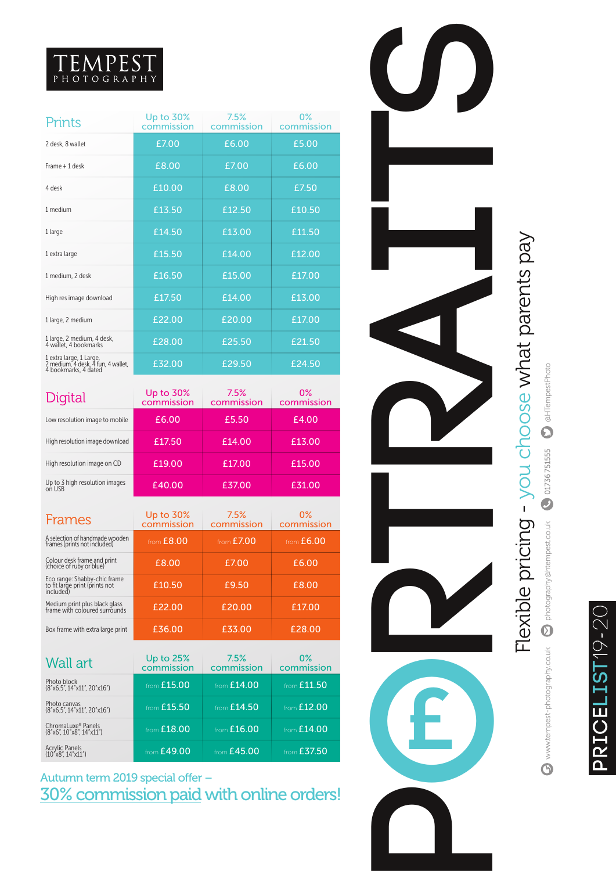## TEMPEST

| Prints                                                                                | Up to 30%<br>commission | 7.5%<br>commission | 0%<br>commission |
|---------------------------------------------------------------------------------------|-------------------------|--------------------|------------------|
| 2 desk, 8 wallet                                                                      | £7.00                   | £6.00              | £5.00            |
| Frame + 1 desk                                                                        | £8.00                   | £7.00              | £6.00            |
| 4 desk                                                                                | £10.00                  | £8.00              | £7.50            |
| 1 medium                                                                              | £13.50                  | £12.50             | £10.50           |
| 1 large                                                                               | £14.50                  | £13.00             | £11.50           |
| 1 extra large                                                                         | £15.50                  | £14.00             | £12.00           |
| 1 medium, 2 desk                                                                      | £16.50                  | £15.00             | £17.00           |
| High res image download                                                               | £17.50                  | £14.00             | £13.00           |
| 1 large, 2 medium                                                                     | £22.00                  | £20.00             | £17.00           |
| 1 large, 2 medium, 4 desk, 4 wallet, 4 bookmarks                                      | £28.00                  | £25.50             | £21.50           |
| 1 extra large, 1 Large,<br>2 medium, 4 desk, 4 fun, 4 wallet,<br>4 bookmarks, 4 dated | £32.00                  | £29.50             | £24.50           |

| Digital                                  | Up to 30%<br>commission | 7.5%<br>commission | 0%<br>commission |
|------------------------------------------|-------------------------|--------------------|------------------|
| Low resolution image to mobile           | £6.00                   | £5.50              | £4.00            |
| High resolution image download           | £17.50                  | £14.00             | £13.00           |
| High resolution image on CD              | £19.00                  | £17.00             | £15.00           |
| Up to 3 high resolution images<br>on USB | £40.00                  | £37.00             | £31.00           |

| Frames                                                                      | Up to 30%<br>commission | 7.5%<br>commission | 0%<br>commission |
|-----------------------------------------------------------------------------|-------------------------|--------------------|------------------|
| A selection of handmade wooden<br>frames (prints not included)              | from $E8.00$            | from $E7.00$       | from $E6.00$     |
| Colour desk frame and print<br>(choice of ruby or blue)                     | £8.00                   | £7.00              | £6.00            |
| Eco range: Shabby-chic frame<br>to fit large print (prints not<br>included) | £10.50                  | £9.50              | £8.00            |
| Medium print plus black glass<br>frame with coloured surrounds              | £22.00                  | £20.00             | £17.00           |
| Box frame with extra large print                                            | £36.00                  | £33.00             | £28.00           |

| Wall art                                                   | Up to 25%<br>commission | 7.5%<br>commission | 0%<br>commission |
|------------------------------------------------------------|-------------------------|--------------------|------------------|
| Photo block<br>(8"x6.5", 14"x11", 20"x16")                 | from £15.00             | from $E14.00$      | from £11.50      |
| Photo canvas<br>(8"x6.5", 14"x11", 20"x16")                | from £15.50             | from $£14.50$      | from $£12.00$    |
| ChromaLuxe <sup>®</sup> Panels<br>(8"x6", 10"x8", 14"x11") | from £18.00             | from $£16.00$      | from $E14.00$    |
| Acrylic Panels<br>(10"x8", 14"x11")                        | from £49.00             | from £45.00        | from $£37.50$    |

Autumn term 2019 special offer – 30% commission paid with online orders!



## PRICELIST19-20 **pricel ist**19-20